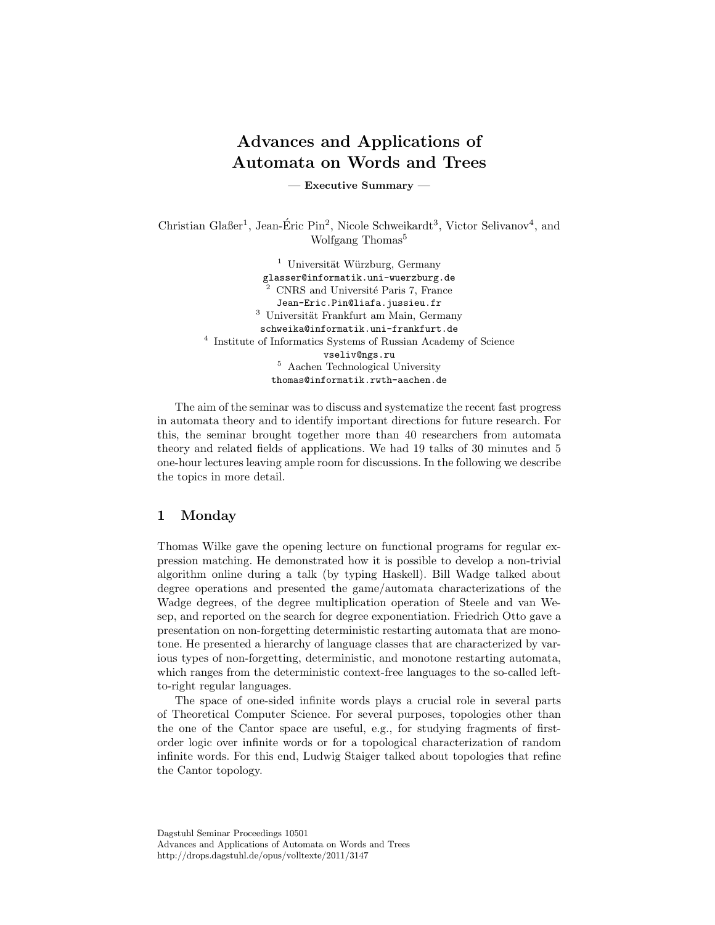# Advances and Applications of Automata on Words and Trees

— Executive Summary —

Christian Glaßer<sup>1</sup>, Jean-Éric Pin<sup>2</sup>, Nicole Schweikardt<sup>3</sup>, Victor Selivanov<sup>4</sup>, and Wolfgang Thomas<sup>5</sup>

> $1$  Universität Würzburg, Germany glasser@informatik.uni-wuerzburg.de <sup>2</sup> CNRS and Universit´e Paris 7, France Jean-Eric.Pin@liafa.jussieu.fr  $3$  Universität Frankfurt am Main, Germany schweika@informatik.uni-frankfurt.de 4 Institute of Informatics Systems of Russian Academy of Science vseliv@ngs.ru <sup>5</sup> Aachen Technological University thomas@informatik.rwth-aachen.de

The aim of the seminar was to discuss and systematize the recent fast progress in automata theory and to identify important directions for future research. For this, the seminar brought together more than 40 researchers from automata theory and related fields of applications. We had 19 talks of 30 minutes and 5 one-hour lectures leaving ample room for discussions. In the following we describe the topics in more detail.

### 1 Monday

Thomas Wilke gave the opening lecture on functional programs for regular expression matching. He demonstrated how it is possible to develop a non-trivial algorithm online during a talk (by typing Haskell). Bill Wadge talked about degree operations and presented the game/automata characterizations of the Wadge degrees, of the degree multiplication operation of Steele and van Wesep, and reported on the search for degree exponentiation. Friedrich Otto gave a presentation on non-forgetting deterministic restarting automata that are monotone. He presented a hierarchy of language classes that are characterized by various types of non-forgetting, deterministic, and monotone restarting automata, which ranges from the deterministic context-free languages to the so-called leftto-right regular languages.

The space of one-sided infinite words plays a crucial role in several parts of Theoretical Computer Science. For several purposes, topologies other than the one of the Cantor space are useful, e.g., for studying fragments of firstorder logic over infinite words or for a topological characterization of random infinite words. For this end, Ludwig Staiger talked about topologies that refine the Cantor topology.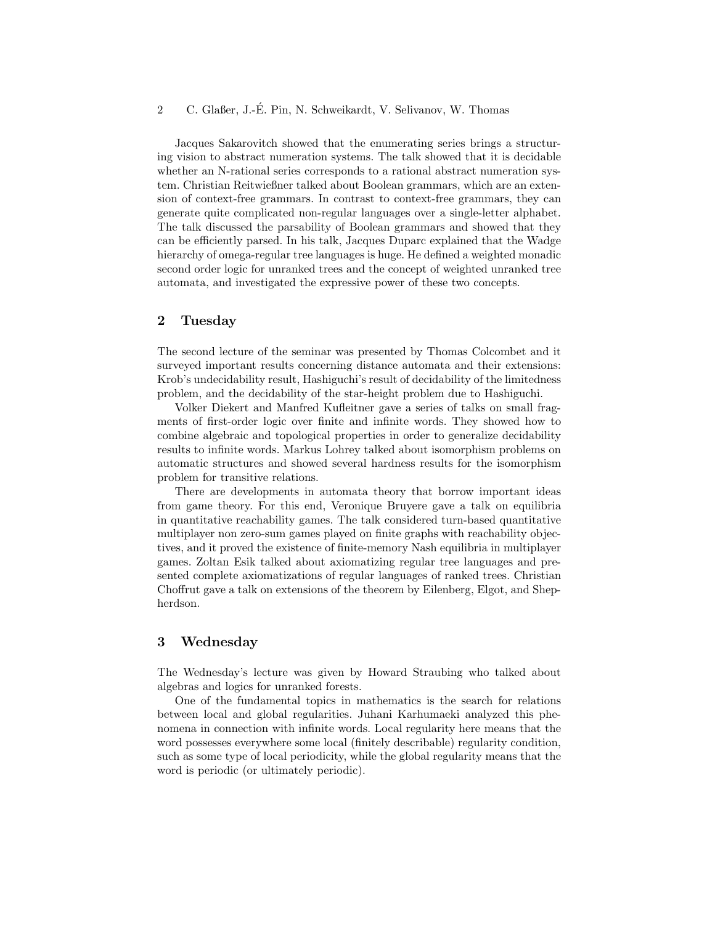# 2 C. Glaßer, J.-E. Pin, N. Schweikardt, V. Selivanov, W. Thomas ´

Jacques Sakarovitch showed that the enumerating series brings a structuring vision to abstract numeration systems. The talk showed that it is decidable whether an N-rational series corresponds to a rational abstract numeration system. Christian Reitwießner talked about Boolean grammars, which are an extension of context-free grammars. In contrast to context-free grammars, they can generate quite complicated non-regular languages over a single-letter alphabet. The talk discussed the parsability of Boolean grammars and showed that they can be efficiently parsed. In his talk, Jacques Duparc explained that the Wadge hierarchy of omega-regular tree languages is huge. He defined a weighted monadic second order logic for unranked trees and the concept of weighted unranked tree automata, and investigated the expressive power of these two concepts.

# 2 Tuesday

The second lecture of the seminar was presented by Thomas Colcombet and it surveyed important results concerning distance automata and their extensions: Krob's undecidability result, Hashiguchi's result of decidability of the limitedness problem, and the decidability of the star-height problem due to Hashiguchi.

Volker Diekert and Manfred Kufleitner gave a series of talks on small fragments of first-order logic over finite and infinite words. They showed how to combine algebraic and topological properties in order to generalize decidability results to infinite words. Markus Lohrey talked about isomorphism problems on automatic structures and showed several hardness results for the isomorphism problem for transitive relations.

There are developments in automata theory that borrow important ideas from game theory. For this end, Veronique Bruyere gave a talk on equilibria in quantitative reachability games. The talk considered turn-based quantitative multiplayer non zero-sum games played on finite graphs with reachability objectives, and it proved the existence of finite-memory Nash equilibria in multiplayer games. Zoltan Esik talked about axiomatizing regular tree languages and presented complete axiomatizations of regular languages of ranked trees. Christian Choffrut gave a talk on extensions of the theorem by Eilenberg, Elgot, and Shepherdson.

# 3 Wednesday

The Wednesday's lecture was given by Howard Straubing who talked about algebras and logics for unranked forests.

One of the fundamental topics in mathematics is the search for relations between local and global regularities. Juhani Karhumaeki analyzed this phenomena in connection with infinite words. Local regularity here means that the word possesses everywhere some local (finitely describable) regularity condition, such as some type of local periodicity, while the global regularity means that the word is periodic (or ultimately periodic).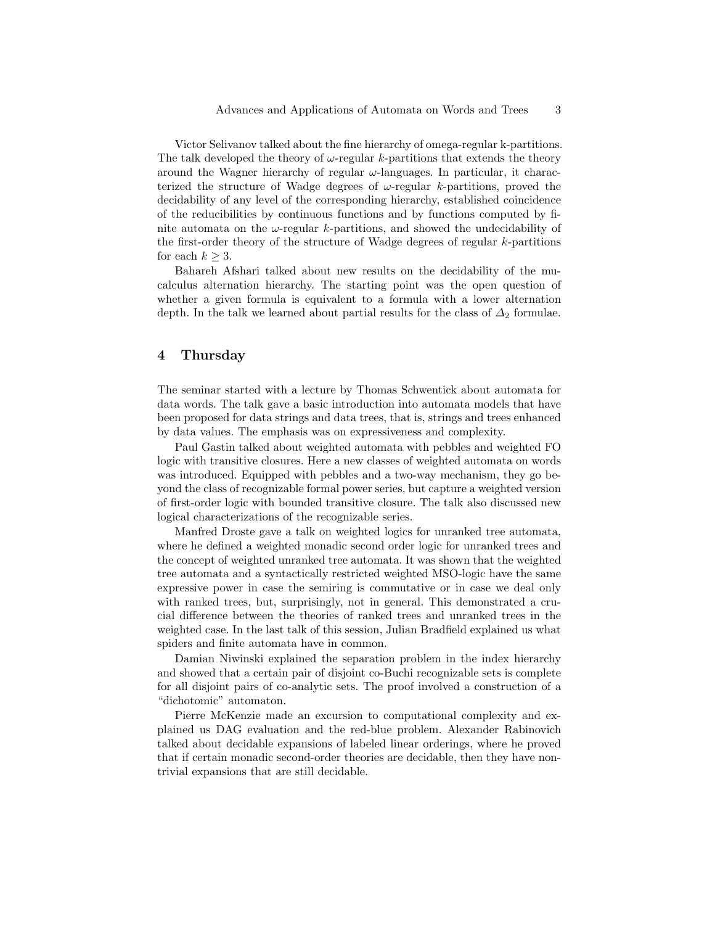Victor Selivanov talked about the fine hierarchy of omega-regular k-partitions. The talk developed the theory of  $\omega$ -regular k-partitions that extends the theory around the Wagner hierarchy of regular  $\omega$ -languages. In particular, it characterized the structure of Wadge degrees of  $\omega$ -regular k-partitions, proved the decidability of any level of the corresponding hierarchy, established coincidence of the reducibilities by continuous functions and by functions computed by finite automata on the  $\omega$ -regular k-partitions, and showed the undecidability of the first-order theory of the structure of Wadge degrees of regular k-partitions for each  $k \geq 3$ .

Bahareh Afshari talked about new results on the decidability of the mucalculus alternation hierarchy. The starting point was the open question of whether a given formula is equivalent to a formula with a lower alternation depth. In the talk we learned about partial results for the class of  $\Delta_2$  formulae.

## 4 Thursday

The seminar started with a lecture by Thomas Schwentick about automata for data words. The talk gave a basic introduction into automata models that have been proposed for data strings and data trees, that is, strings and trees enhanced by data values. The emphasis was on expressiveness and complexity.

Paul Gastin talked about weighted automata with pebbles and weighted FO logic with transitive closures. Here a new classes of weighted automata on words was introduced. Equipped with pebbles and a two-way mechanism, they go beyond the class of recognizable formal power series, but capture a weighted version of first-order logic with bounded transitive closure. The talk also discussed new logical characterizations of the recognizable series.

Manfred Droste gave a talk on weighted logics for unranked tree automata, where he defined a weighted monadic second order logic for unranked trees and the concept of weighted unranked tree automata. It was shown that the weighted tree automata and a syntactically restricted weighted MSO-logic have the same expressive power in case the semiring is commutative or in case we deal only with ranked trees, but, surprisingly, not in general. This demonstrated a crucial difference between the theories of ranked trees and unranked trees in the weighted case. In the last talk of this session, Julian Bradfield explained us what spiders and finite automata have in common.

Damian Niwinski explained the separation problem in the index hierarchy and showed that a certain pair of disjoint co-Buchi recognizable sets is complete for all disjoint pairs of co-analytic sets. The proof involved a construction of a "dichotomic" automaton.

Pierre McKenzie made an excursion to computational complexity and explained us DAG evaluation and the red-blue problem. Alexander Rabinovich talked about decidable expansions of labeled linear orderings, where he proved that if certain monadic second-order theories are decidable, then they have nontrivial expansions that are still decidable.